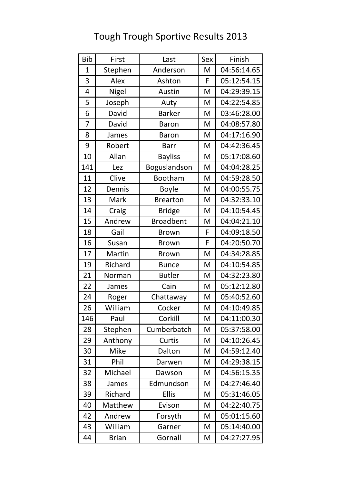### Bib First Last Sex Finish 1 | Stephen | Anderson | M | 04:56:14.65 3 | Alex | Ashton | F 05:12:54.15 4 | Nigel | Austin | M | 04:29:39.15 5 | Joseph | Auty | M | 04:22:54.85 6 David | Barker | M | 03:46:28.00 7 | David | Baron | M | 04:08:57.80 8 James | Baron | M 04:17:16.90 9 | Robert | Barr | M | 04:42:36.45 10 Allan Bayliss M 05:17:08.60 141 Lez | Boguslandson | M | 04:04:28.25 11 Clive | Bootham | M 04:59:28.50 12 | Dennis | Boyle | M | 04:00:55.75 13 | Mark | Brearton | M | 04:32:33.10 14 | Craig | Bridge | M | 04:10:54.45 15 | Andrew | Broadbent | M | 04:04:21.10 18 Gail Brown F 04:09:18.50 16 Susan Brown F 04:20:50.70 17 | Martin | Brown | M | 04:34:28.85 19 | Richard | Bunce | M | 04:10:54.85 21 | Norman | Butler | M | 04:32:23.80 22 James Cain M 05:12:12.80 24 | Roger | Chattaway | M | 05:40:52.60 26 | William | Cocker | M | 04:10:49.85 146 Paul | Corkill | M 04:11:00.30 28 Stephen | Cumberbatch | M | 05:37:58.00 29 Anthony Curtis M 04:10:26.45 30 | Mike | Dalton | M | 04:59:12.40 31 Phil Darwen M 04:29:38.15 32 | Michael | Dawson | M | 04:56:15.35 38 James | Edmundson | M | 04:27:46.40 39 Richard Ellis M 05:31:46.05 40 | Matthew | Evison | M | 04:22:40.75 42 | Andrew | Forsyth | M | 05:01:15.60 43 | William | Garner | M | 05:14:40.00 44 Brian Gornall M 04:27:27.95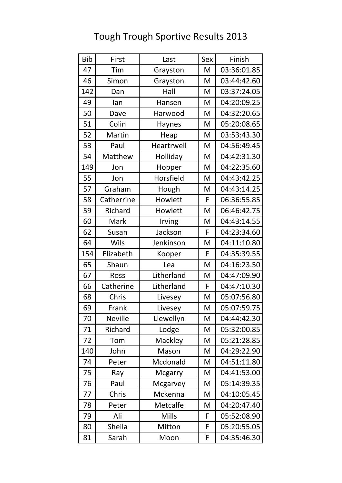| <b>Bib</b> | First          | Last           | Sex | Finish      |
|------------|----------------|----------------|-----|-------------|
| 47         | Tim            | Grayston       | M   | 03:36:01.85 |
| 46         | Simon          | Grayston       | M   | 03:44:42.60 |
| 142        | Dan            | Hall           | M   | 03:37:24.05 |
| 49         | lan            | Hansen         | M   | 04:20:09.25 |
| 50         | Dave           | Harwood        | M   | 04:32:20.65 |
| 51         | Colin          | <b>Haynes</b>  | M   | 05:20:08.65 |
| 52         | Martin         | Heap           | M   | 03:53:43.30 |
| 53         | Paul           | Heartrwell     | M   | 04:56:49.45 |
| 54         | Matthew        | Holliday       | M   | 04:42:31.30 |
| 149        | Jon            | Hopper         | M   | 04:22:35.60 |
| 55         | Jon            | Horsfield      | M   | 04:43:42.25 |
| 57         | Graham         | Hough          | M   | 04:43:14.25 |
| 58         | Catherrine     | Howlett        | F   | 06:36:55.85 |
| 59         | Richard        | Howlett        | M   | 06:46:42.75 |
| 60         | Mark           | Irving         | M   | 04:43:14.55 |
| 62         | Susan          | Jackson        | F   | 04:23:34.60 |
| 64         | Wils           | Jenkinson      | M   | 04:11:10.80 |
| 154        | Elizabeth      | Kooper         | F   | 04:35:39.55 |
| 65         | Shaun          | Lea            | M   | 04:16:23.50 |
| 67         | <b>Ross</b>    | Litherland     | M   | 04:47:09.90 |
| 66         | Catherine      | Litherland     | F   | 04:47:10.30 |
| 68         | Chris          | Livesey        | M   | 05:07:56.80 |
| 69         | Frank          | Livesey        | M   | 05:07:59.75 |
| 70         | <b>Neville</b> | Llewellyn      | M   | 04:44:42.30 |
| 71         | Richard        | Lodge          | M   | 05:32:00.85 |
| 72         | Tom            | Mackley        | M   | 05:21:28.85 |
| 140        | John           | Mason          | M   | 04:29:22.90 |
| 74         | Peter          | Mcdonald       | M   | 04:51:11.80 |
| 75         | Ray            | <b>Mcgarry</b> | M   | 04:41:53.00 |
| 76         | Paul           | Mcgarvey       | M   | 05:14:39.35 |
| 77         | Chris          | Mckenna        | M   | 04:10:05.45 |
| 78         | Peter          | Metcalfe       | M   | 04:20:47.40 |
| 79         | Ali            | <b>Mills</b>   | F   | 05:52:08.90 |
| 80         | Sheila         | Mitton         | F   | 05:20:55.05 |
| 81         | Sarah          | Moon           | F   | 04:35:46.30 |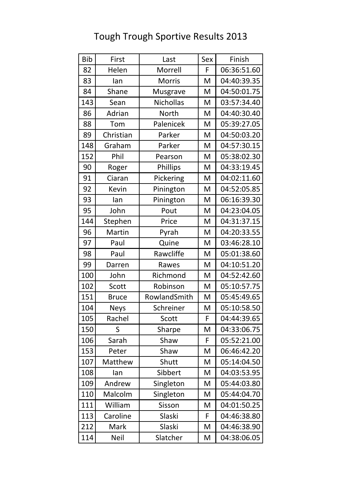| <b>Bib</b> | First        | Last          | Sex | Finish      |
|------------|--------------|---------------|-----|-------------|
| 82         | Helen        | Morrell       | F   | 06:36:51.60 |
| 83         | lan          | <b>Morris</b> | M   | 04:40:39.35 |
| 84         | Shane        | Musgrave      | M   | 04:50:01.75 |
| 143        | Sean         | Nichollas     | M   | 03:57:34.40 |
| 86         | Adrian       | <b>North</b>  | M   | 04:40:30.40 |
| 88         | Tom          | Palenicek     | M   | 05:39:27.05 |
| 89         | Christian    | Parker        | M   | 04:50:03.20 |
| 148        | Graham       | Parker        | M   | 04:57:30.15 |
| 152        | Phil         | Pearson       | M   | 05:38:02.30 |
| 90         | Roger        | Phillips      | M   | 04:33:19.45 |
| 91         | Ciaran       | Pickering     | M   | 04:02:11.60 |
| 92         | <b>Kevin</b> | Pinington     | M   | 04:52:05.85 |
| 93         | lan          | Pinington     | M   | 06:16:39.30 |
| 95         | John         | Pout          | M   | 04:23:04.05 |
| 144        | Stephen      | Price         | M   | 04:31:37.15 |
| 96         | Martin       | Pyrah         | M   | 04:20:33.55 |
| 97         | Paul         | Quine         | M   | 03:46:28.10 |
| 98         | Paul         | Rawcliffe     | M   | 05:01:38.60 |
| 99         | Darren       | Rawes         | M   | 04:10:51.20 |
| 100        | John         | Richmond      | M   | 04:52:42.60 |
| 102        | Scott        | Robinson      | M   | 05:10:57.75 |
| 151        | <b>Bruce</b> | RowlandSmith  | M   | 05:45:49.65 |
| 104        | <b>Neys</b>  | Schreiner     | M   | 05:10:58.50 |
| 105        | Rachel       | Scott         | F   | 04:44:39.65 |
| 150        | S            | Sharpe        | M   | 04:33:06.75 |
| 106        | Sarah        | Shaw          | F   | 05:52:21.00 |
| 153        | Peter        | Shaw          | M   | 06:46:42.20 |
| 107        | Matthew      | Shutt         | M   | 05:14:04.50 |
| 108        | lan          | Sibbert       | M   | 04:03:53.95 |
| 109        | Andrew       | Singleton     | M   | 05:44:03.80 |
| 110        | Malcolm      | Singleton     | M   | 05:44:04.70 |
| 111        | William      | Sisson        | M   | 04:01:50.25 |
| 113        | Caroline     | Slaski        | F   | 04:46:38.80 |
| 212        | Mark         | Slaski        | M   | 04:46:38.90 |
| 114        | <b>Neil</b>  | Slatcher      | M   | 04:38:06.05 |